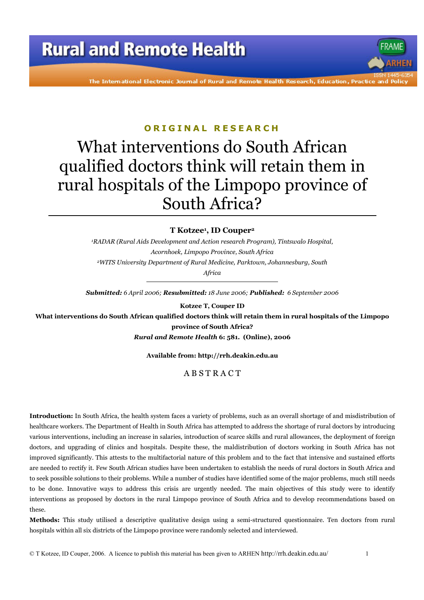The International Electronic Journal of Rural and Remote Health Research, Education, Practice and Polic

### ORIGINAL RESEARCH

# What interventions do South African qualified doctors think will retain them in rural hospitals of the Limpopo province of South Africa?

### T Kotzee<sup>1</sup>, ID Couper<sup>2</sup>

<sup>1</sup>RADAR (Rural Aids Development and Action research Program), Tintswalo Hospital, Acornhoek, Limpopo Province, South Africa <sup>2</sup>WITS University Department of Rural Medicine. Parktown. Johannesburg. South

Africa

Submitted: 6 April 2006; Resubmitted: 18 June 2006; Published: 6 September 2006

Kotzee T, Couper ID

What interventions do South African qualified doctors think will retain them in rural hospitals of the Limpopo province of South Africa?

Rural and Remote Health 6: 581. (Online), 2006

#### Available from: http://rrh.deakin.edu.au

### ABSTRACT

Introduction: In South Africa, the health system faces a variety of problems, such as an overall shortage of and misdistribution of healthcare workers. The Department of Health in South Africa has attempted to address the shortage of rural doctors by introducing various interventions, including an increase in salaries, introduction of scarce skills and rural allowances, the deployment of foreign doctors, and upgrading of clinics and hospitals. Despite these, the maldistribution of doctors working in South Africa has not improved significantly. This attests to the multifactorial nature of this problem and to the fact that intensive and sustained efforts are needed to rectify it. Few South African studies have been undertaken to establish the needs of rural doctors in South Africa and to seek possible solutions to their problems. While a number of studies have identified some of the major problems, much still needs to be done. Innovative ways to address this crisis are urgently needed. The main objectives of this study were to identify interventions as proposed by doctors in the rural Limpopo province of South Africa and to develop recommendations based on these.

Methods: This study utilised a descriptive qualitative design using a semi-structured questionnaire. Ten doctors from rural hospitals within all six districts of the Limpopo province were randomly selected and interviewed.

© T Kotzee, ID Couper, 2006. A licence to publish this material has been given to ARHEN http://rrh.deakin.edu.au/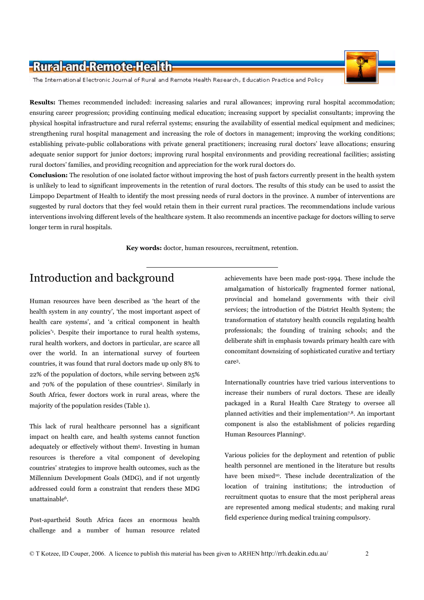The International Electronic Journal of Rural and Remote Health Research, Education Practice and Policy

Results: Themes recommended included: increasing salaries and rural allowances; improving rural hospital accommodation; ensuring career progression; providing continuing medical education; increasing support by specialist consultants; improving the physical hospital infrastructure and rural referral systems; ensuring the availability of essential medical equipment and medicines; strengthening rural hospital management and increasing the role of doctors in management; improving the working conditions; establishing private-public collaborations with private general practitioners; increasing rural doctors' leave allocations; ensuring adequate senior support for junior doctors; improving rural hospital environments and providing recreational facilities; assisting rural doctors' families, and providing recognition and appreciation for the work rural doctors do.

**Conclusion:** The resolution of one isolated factor without improving the host of push factors currently present in the health system is unlikely to lead to significant improvements in the retention of rural doctors. The results of this study can be used to assist the Limpopo Department of Health to identify the most pressing needs of rural doctors in the province. A number of interventions are suggested by rural doctors that they feel would retain them in their current rural practices. The recommendations include various interventions involving different levels of the healthcare system. It also recommends an incentive package for doctors willing to serve longer term in rural hospitals.

Key words: doctor, human resources, recruitment, retention.

# Introduction and background

Human resources have been described as 'the heart of the health system in any country', 'the most important aspect of health care systems', and 'a critical component in health policies'<sup>1</sup>. Despite their importance to rural health systems, rural health workers, and doctors in particular, are scarce all over the world. In an international survey of fourteen countries, it was found that rural doctors made up only 8% to 22% of the population of doctors, while serving between 25% and 70% of the population of these countries<sup>2</sup>. Similarly in South Africa, fewer doctors work in rural areas, where the majority of the population resides (Table 1).

This lack of rural healthcare personnel has a significant impact on health care, and health systems cannot function adequately or effectively without them<sup>5</sup>. Investing in human resources is therefore a vital component of developing countries' strategies to improve health outcomes, such as the Millennium Development Goals (MDG), and if not urgently addressed could form a constraint that renders these MDG unattainable<sup>6</sup>.

Post-apartheid South Africa faces an enormous health challenge and a number of human resource related achievements have been made post-1994. These include the amalgamation of historically fragmented former national, provincial and homeland governments with their civil services; the introduction of the District Health System; the transformation of statutory health councils regulating health professionals; the founding of training schools; and the deliberate shift in emphasis towards primary health care with concomitant downsizing of sophisticated curative and tertiary care<sup>3</sup>.

Internationally countries have tried various interventions to increase their numbers of rural doctors. These are ideally packaged in a Rural Health Care Strategy to oversee all planned activities and their implementation<sup>7,8</sup>. An important component is also the establishment of policies regarding Human Resources Planning9.

Various policies for the deployment and retention of public health personnel are mentioned in the literature but results have been mixed<sup>10</sup>. These include decentralization of the location of training institutions; the introduction of recruitment quotas to ensure that the most peripheral areas are represented among medical students; and making rural field experience during medical training compulsory.

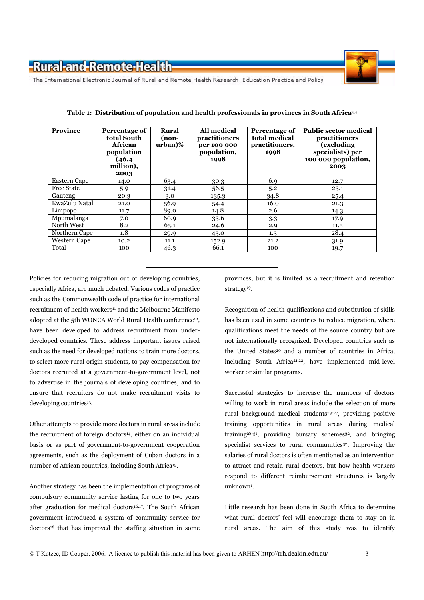

The International Electronic Journal of Rural and Remote Health Research, Education Practice and Policy

| <b>Province</b>     | Percentage of<br>total South<br>African<br>population<br>(46.4)<br>million),<br>2003 | <b>Rural</b><br>(non-<br>urban)% | <b>All medical</b><br>practitioners<br>per 100 000<br>population,<br>1998 | Percentage of<br>total medical<br>practitioners,<br>1998 | <b>Public sector medical</b><br>practitioners<br>(excluding<br>specialists) per<br>100 000 population,<br>2003 |
|---------------------|--------------------------------------------------------------------------------------|----------------------------------|---------------------------------------------------------------------------|----------------------------------------------------------|----------------------------------------------------------------------------------------------------------------|
| <b>Eastern Cape</b> | 14.0                                                                                 | 63.4                             | 30.3                                                                      | 6.9                                                      | 12.7                                                                                                           |
| <b>Free State</b>   | 5.9                                                                                  | 31.4                             | 56.5                                                                      | 5.2                                                      | 23.1                                                                                                           |
| Gauteng             | 20.3                                                                                 | 3.0                              | 135.3                                                                     | 34.8                                                     | 25.4                                                                                                           |
| KwaZulu Natal       | 21.0                                                                                 | 56.9                             | 54.4                                                                      | 16.0                                                     | 21.3                                                                                                           |
| Limpopo             | 11.7                                                                                 | 89.0                             | 14.8                                                                      | 2.6                                                      | 14.3                                                                                                           |
| Mpumalanga          | 7.0                                                                                  | 60.9                             | 33.6                                                                      | 3.3                                                      | 17.9                                                                                                           |
| North West          | 8.2                                                                                  | 65.1                             | 24.6                                                                      | 2.9                                                      | 11.5                                                                                                           |
| Northern Cape       | 1.8                                                                                  | 29.9                             | 43.0                                                                      | $1.3\,$                                                  | 28.4                                                                                                           |
| <b>Western Cape</b> | 10.2                                                                                 | 11.1                             | 152.9                                                                     | 21.2                                                     | 31.9                                                                                                           |
| Total               | 100                                                                                  | 46.3                             | 66.1                                                                      | 100                                                      | 19.7                                                                                                           |

Table 1: Distribution of population and health professionals in provinces in South Africa<sup>3,4</sup>

Policies for reducing migration out of developing countries, especially Africa, are much debated. Various codes of practice such as the Commonwealth code of practice for international recruitment of health workers<sup>11</sup> and the Melbourne Manifesto adopted at the 5th WONCA World Rural Health conference<sup>12</sup>, have been developed to address recruitment from underdeveloped countries. These address important issues raised such as the need for developed nations to train more doctors, to select more rural origin students, to pay compensation for doctors recruited at a government-to-government level, not to advertise in the journals of developing countries, and to ensure that recruiters do not make recruitment visits to developing countries<sup>13</sup>.

Other attempts to provide more doctors in rural areas include the recruitment of foreign doctors<sup>14</sup>, either on an individual basis or as part of government-to-government cooperation agreements, such as the deployment of Cuban doctors in a number of African countries, including South Africa<sup>15</sup>.

Another strategy has been the implementation of programs of compulsory community service lasting for one to two years after graduation for medical doctors<sup>16,17</sup>. The South African government introduced a system of community service for doctors<sup>18</sup> that has improved the staffing situation in some

provinces, but it is limited as a recruitment and retention strategy<sup>19</sup>.

Recognition of health qualifications and substitution of skills has been used in some countries to reduce migration, where qualifications meet the needs of the source country but are not internationally recognized. Developed countries such as the United States<sup>20</sup> and a number of countries in Africa, including South Africa<sup>21,22</sup>, have implemented mid-level worker or similar programs.

Successful strategies to increase the numbers of doctors willing to work in rural areas include the selection of more rural background medical students<sup>23-27</sup>, providing positive training opportunities in rural areas during medical training<sup>28-31</sup>, providing bursary schemes<sup>32</sup>, and bringing specialist services to rural communities<sup>32</sup>. Improving the salaries of rural doctors is often mentioned as an intervention to attract and retain rural doctors, but how health workers respond to different reimbursement structures is largely unknown<sup>1</sup>.

Little research has been done in South Africa to determine what rural doctors' feel will encourage them to stay on in rural areas. The aim of this study was to identify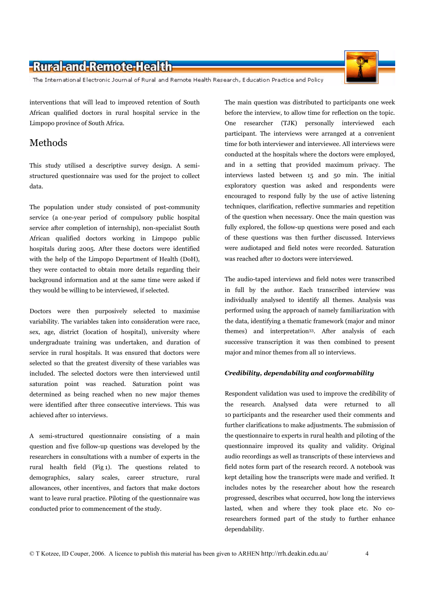The International Electronic Journal of Rural and Remote Health Research, Education Practice and Policy

interventions that will lead to improved retention of South African qualified doctors in rural hospital service in the Limpopo province of South Africa.

### Methods

This study utilised a descriptive survey design. A semistructured questionnaire was used for the project to collect data.

The population under study consisted of post-community service (a one-year period of compulsory public hospital service after completion of internship), non-specialist South African qualified doctors working in Limpopo public hospitals during 2005. After these doctors were identified with the help of the Limpopo Department of Health (DoH), they were contacted to obtain more details regarding their background information and at the same time were asked if they would be willing to be interviewed, if selected.

Doctors were then purposively selected to maximise variability. The variables taken into consideration were race, sex, age, district (location of hospital), university where undergraduate training was undertaken, and duration of service in rural hospitals. It was ensured that doctors were selected so that the greatest diversity of these variables was included. The selected doctors were then interviewed until saturation point was reached. Saturation point was determined as being reached when no new major themes were identified after three consecutive interviews. This was achieved after 10 interviews.

A semi-structured questionnaire consisting of a main question and five follow-up questions was developed by the researchers in consultations with a number of experts in the rural health field (Fig 1). The questions related to demographics, salary scales, career structure, rural allowances, other incentives, and factors that make doctors want to leave rural practice. Piloting of the questionnaire was conducted prior to commencement of the study.

The main question was distributed to participants one week before the interview, to allow time for reflection on the topic. One researcher (TJK) personally interviewed each participant. The interviews were arranged at a convenient time for both interviewer and interviewee. All interviews were conducted at the hospitals where the doctors were employed. and in a setting that provided maximum privacy. The interviews lasted between 15 and 50 min. The initial exploratory question was asked and respondents were encouraged to respond fully by the use of active listening techniques, clarification, reflective summaries and repetition of the question when necessary. Once the main question was fully explored, the follow-up questions were posed and each of these questions was then further discussed. Interviews were audiotaped and field notes were recorded. Saturation was reached after 10 doctors were interviewed.

The audio-taped interviews and field notes were transcribed in full by the author. Each transcribed interview was individually analysed to identify all themes. Analysis was performed using the approach of namely familiarization with the data, identifying a thematic framework (major and minor themes) and interpretation<sup>33</sup>. After analysis of each successive transcription it was then combined to present major and minor themes from all 10 interviews.

#### Credibility, dependability and conformability

Respondent validation was used to improve the credibility of the research. Analysed data were returned to all 10 participants and the researcher used their comments and further clarifications to make adjustments. The submission of the questionnaire to experts in rural health and piloting of the questionnaire improved its quality and validity. Original audio recordings as well as transcripts of these interviews and field notes form part of the research record. A notebook was kept detailing how the transcripts were made and verified. It includes notes by the researcher about how the research progressed, describes what occurred, how long the interviews lasted, when and where they took place etc. No coresearchers formed part of the study to further enhance dependability.

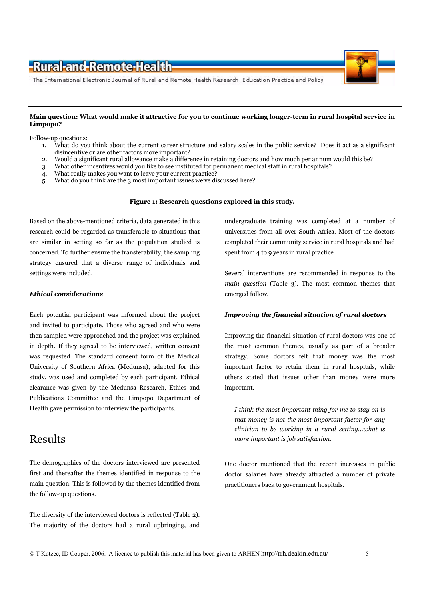

#### Main question: What would make it attractive for you to continue working longer-term in rural hospital service in Limpopo?

Follow-up questions:

- What do you think about the current career structure and salary scales in the public service? Does it act as a significant  $1.$ disincentive or are other factors more important?
- Would a significant rural allowance make a difference in retaining doctors and how much per annum would this be?  $\overline{2}$ .
- What other incentives would you like to see instituted for permanent medical staff in rural hospitals?  $3.$
- What really makes you want to leave your current practice?  $\overline{4}$
- What do you think are the 3 most important issues we've discussed here? 5.

Figure 1: Research questions explored in this study.

Based on the above-mentioned criteria, data generated in this research could be regarded as transferable to situations that are similar in setting so far as the population studied is concerned. To further ensure the transferability, the sampling strategy ensured that a diverse range of individuals and settings were included.

#### **Ethical considerations**

Each potential participant was informed about the project and invited to participate. Those who agreed and who were then sampled were approached and the project was explained in depth. If they agreed to be interviewed, written consent was requested. The standard consent form of the Medical University of Southern Africa (Medunsa), adapted for this study, was used and completed by each participant. Ethical clearance was given by the Medunsa Research, Ethics and Publications Committee and the Limpopo Department of Health gave permission to interview the participants.

### **Results**

The demographics of the doctors interviewed are presented first and thereafter the themes identified in response to the main question. This is followed by the themes identified from the follow-up questions.

The diversity of the interviewed doctors is reflected (Table 2). The majority of the doctors had a rural upbringing, and undergraduate training was completed at a number of universities from all over South Africa. Most of the doctors completed their community service in rural hospitals and had spent from 4 to 9 years in rural practice.

Several interventions are recommended in response to the main question (Table 3). The most common themes that emerged follow.

#### **Improving the financial situation of rural doctors**

Improving the financial situation of rural doctors was one of the most common themes, usually as part of a broader strategy. Some doctors felt that money was the most important factor to retain them in rural hospitals, while others stated that issues other than money were more important.

I think the most important thing for me to stay on is that money is not the most important factor for any clinician to be working in a rural setting...what is more important is job satisfaction.

One doctor mentioned that the recent increases in public doctor salaries have already attracted a number of private practitioners back to government hospitals.

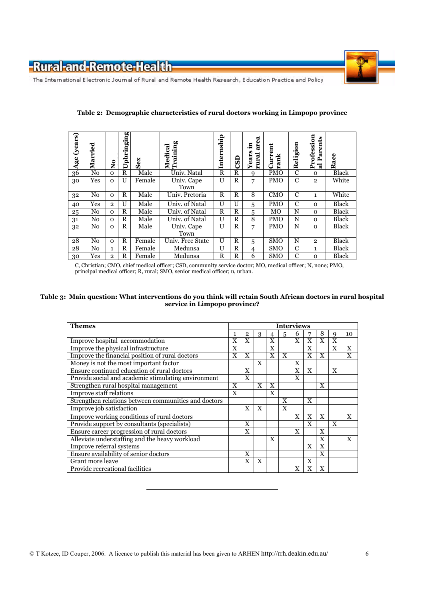

The International Electronic Journal of Rural and Remote Health Research, Education Practice and Policy

| (years)<br>Age | ರ<br>Marrie | $\tilde{\mathbf{z}}$ | pbringing<br>コ | $s_{ex}$ | aining<br>ತ<br>੶ਚੋ<br>žË | Internship   | $\overline{\text{c}}$ | ea<br>,티<br>ã<br>U)<br>rural<br>E<br>Year | Ē<br>Ĕ     | 5<br>Religi | ofession<br>ents<br>Par<br>È<br>ನ | ace<br>≃ |
|----------------|-------------|----------------------|----------------|----------|--------------------------|--------------|-----------------------|-------------------------------------------|------------|-------------|-----------------------------------|----------|
| 36             | No          | $\Omega$             | R              | Male     | Univ. Natal              | $\mathbf R$  | $\mathbf R$           | 9                                         | <b>PMO</b> | C           | $\Omega$                          | Black    |
| 30             | Yes         | $\Omega$             | U              | Female   | Univ. Cape               | U            | $\mathbf R$           | 7                                         | <b>PMO</b> | C           | $\overline{2}$                    | White    |
|                |             |                      |                |          | Town                     |              |                       |                                           |            |             |                                   |          |
| 32             | No          | $\Omega$             | R              | Male     | Univ. Pretoria           | R            | $\mathbf R$           | 8                                         | <b>CMO</b> | C           | 1                                 | White    |
| 40             | Yes         | $\overline{2}$       | U              | Male     | Univ. of Natal           | $\mathbf{U}$ | U                     | 5                                         | <b>PMO</b> | C           | $\Omega$                          | Black    |
| 25             | No          | 0                    | R              | Male     | Univ. of Natal           | R            | R                     | 5                                         | MO         | N           | 0                                 | Black    |
| 31             | No          | $\Omega$             | R              | Male     | Univ. of Natal           | U            | R                     | 8                                         | <b>PMO</b> | N           | $\Omega$                          | Black    |
| 32             | No          | $\Omega$             | $\mathbb{R}$   | Male     | Univ. Cape               | U            | $\mathbf R$           | 7                                         | <b>PMO</b> | N           | $\Omega$                          | Black    |
|                |             |                      |                |          | Town                     |              |                       |                                           |            |             |                                   |          |
| 28             | No          | $\Omega$             | R              | Female   | Univ. Free State         | U            | R                     | 5                                         | <b>SMO</b> | N           | $\overline{2}$                    | Black    |
| 28             | No          | 1                    | R              | Female   | Medunsa                  | U            | R                     | 4                                         | <b>SMO</b> | C           | 1                                 | Black    |
| 30             | Yes         | $\overline{2}$       | R              | Female   | Medunsa                  | R            | $\mathbb{R}$          | 6                                         | <b>SMO</b> | C           | 0                                 | Black    |

#### Table 2: Demographic characteristics of rural doctors working in Limpopo province

C, Christian; CMO, chief medical officer; CSD, community service doctor; MO, medical officer; N, none; PMO, principal medical officer; R, rural; SMO, senior medical officer; u, urban.

#### Table 3: Main question: What interventions do you think will retain South African doctors in rural hospital service in Limpopo province?

| <b>Themes</b>                                        |   |                | <b>Interviews</b> |              |   |              |   |              |              |              |  |  |
|------------------------------------------------------|---|----------------|-------------------|--------------|---|--------------|---|--------------|--------------|--------------|--|--|
|                                                      | 1 | $\overline{2}$ | 3                 |              | 5 | 6            | 7 | 8            | Q            | 10           |  |  |
| Improve hospital accommodation                       | X | X              |                   | $\mathbf{X}$ |   | X            | X | $\mathbf{x}$ | X            |              |  |  |
| Improve the physical infrastructure                  | X |                |                   | $\mathbf{X}$ |   |              | X |              | X            | $\mathbf{X}$ |  |  |
| Improve the financial position of rural doctors      | X | $\mathbf{X}$   |                   | $\mathbf x$  | X |              | X | X            |              | X            |  |  |
| Money is not the most important factor               |   |                | X                 |              |   | X            |   |              |              |              |  |  |
| Ensure continued education of rural doctors          |   | $\mathbf{x}$   |                   |              |   | $\mathbf{X}$ | X |              | $\mathbf{x}$ |              |  |  |
| Provide social and academic stimulating environment  |   | $\mathbf{X}$   |                   |              |   | X            |   |              |              |              |  |  |
| Strengthen rural hospital management                 | X |                | $\mathbf{X}$      | $\mathbf{X}$ |   |              |   | X            |              |              |  |  |
| Improve staff relations                              | X |                |                   | X            |   |              |   |              |              |              |  |  |
| Strengthen relations between communities and doctors |   |                |                   |              | X |              | X |              |              |              |  |  |
| Improve job satisfaction                             |   | $\mathbf{X}$   | X                 |              | X |              |   |              |              |              |  |  |
| Improve working conditions of rural doctors          |   |                |                   |              |   | X            | X | X            |              | $\mathbf{X}$ |  |  |
| Provide support by consultants (specialists)         |   | $\mathbf{x}$   |                   |              |   |              | X |              | X            |              |  |  |
| Ensure career progression of rural doctors           |   | X              |                   |              |   | X            |   | X            |              |              |  |  |
| Alleviate understaffing and the heavy workload       |   |                |                   | X            |   |              |   | X            |              | X            |  |  |
| Improve referral systems                             |   |                |                   |              |   |              | X | X            |              |              |  |  |
| Ensure availability of senior doctors                |   | X              |                   |              |   |              |   | X            |              |              |  |  |
| Grant more leave                                     |   | $\mathbf{X}$   | $\mathbf{X}$      |              |   |              | X |              |              |              |  |  |
| Provide recreational facilities                      |   |                |                   |              |   | X            | X | X            |              |              |  |  |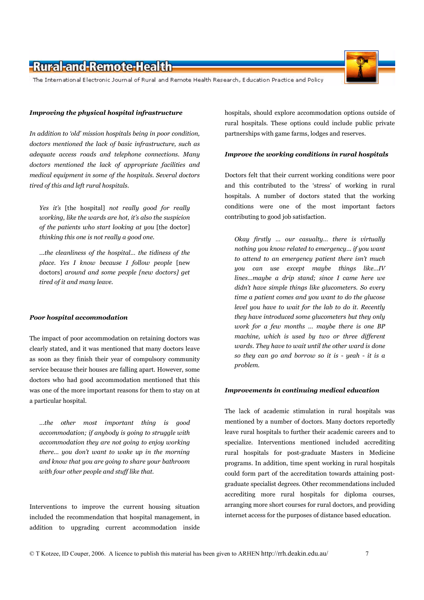The International Electronic Journal of Rural and Remote Health Research, Education Practice and Policy

#### Improving the physical hospital infrastructure

In addition to 'old' mission hospitals being in poor condition, doctors mentioned the lack of basic infrastructure, such as adequate access roads and telephone connections. Manu doctors mentioned the lack of appropriate facilities and medical equipment in some of the hospitals. Several doctors tired of this and left rural hospitals.

Yes it's [the hospital] not really good for really working, like the wards are hot, it's also the suspicion of the patients who start looking at you [the doctor] thinking this one is not really a good one.

...the cleanliness of the hospital... the tidiness of the place. Yes I know because I follow people [new doctors] around and some people [new doctors] get tired of it and many leave.

#### **Poor hospital accommodation**

The impact of poor accommodation on retaining doctors was clearly stated, and it was mentioned that many doctors leave as soon as they finish their year of compulsory community service because their houses are falling apart. However, some doctors who had good accommodation mentioned that this was one of the more important reasons for them to stay on at a particular hospital.

...the other most important thing is good accommodation; if anybody is going to struggle with accommodation they are not going to enjoy working there... you don't want to wake up in the morning and know that you are going to share your bathroom with four other people and stuff like that.

Interventions to improve the current housing situation included the recommendation that hospital management, in addition to upgrading current accommodation inside hospitals, should explore accommodation options outside of rural hospitals. These options could include public private partnerships with game farms, lodges and reserves.

#### Improve the working conditions in rural hospitals

Doctors felt that their current working conditions were poor and this contributed to the 'stress' of working in rural hospitals. A number of doctors stated that the working conditions were one of the most important factors contributing to good job satisfaction.

Okay firstly ... our casualty... there is virtually nothing you know related to emergency... if you want to attend to an emergency patient there isn't much you can use except maybe things like...IV lines...maube a drip stand: since I came here we didn't have simple things like glucometers. So every time a patient comes and you want to do the glucose level you have to wait for the lab to do it. Recently they have introduced some glucometers but they only work for a few months ... maybe there is one BP machine, which is used by two or three different wards. They have to wait until the other ward is done so they can go and borrow so it is - yeah - it is a problem.

#### **Improvements in continuing medical education**

The lack of academic stimulation in rural hospitals was mentioned by a number of doctors. Many doctors reportedly leave rural hospitals to further their academic careers and to specialize. Interventions mentioned included accrediting rural hospitals for post-graduate Masters in Medicine programs. In addition, time spent working in rural hospitals could form part of the accreditation towards attaining postgraduate specialist degrees. Other recommendations included accrediting more rural hospitals for diploma courses, arranging more short courses for rural doctors, and providing internet access for the purposes of distance based education.

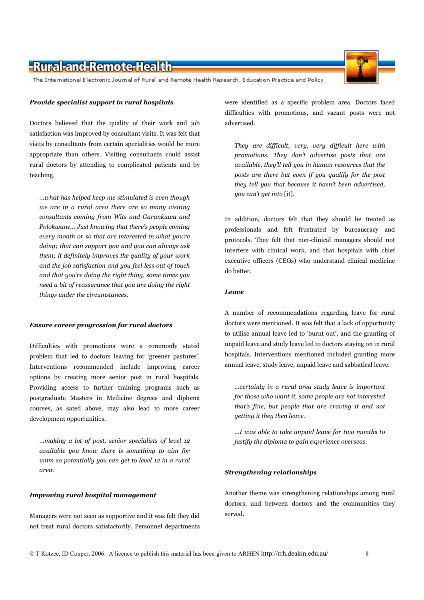Managers were not seen as supportive and it was felt they did not treat rural doctors satisfactorily. Personnel departments were identified as a specific problem area. Doctors faced difficulties with promotions, and vacant posts were not advertised.

They are difficult, very, very difficult here with promotions. They don't advertise posts that are available, they'll tell you in human resources that the posts are there but even if you qualify for the post they tell you that because it hasn't been advertised, you can't get into [it].

In addition, doctors felt that they should be treated as professionals and felt frustrated by bureaucracy and protocols. They felt that non-clinical managers should not interfere with clinical work, and that hospitals with chief executive officers (CEOs) who understand clinical medicine do better.

#### Leave

A number of recommendations regarding leave for rural doctors were mentioned. It was felt that a lack of opportunity to utilise annual leave led to 'burnt out', and the granting of unpaid leave and study leave led to doctors staying on in rural hospitals. Interventions mentioned included granting more annual leave, study leave, unpaid leave and sabbatical leave.

...certainly in a rural area study leave is important for those who want it, some people are not interested that's fine, but people that are craving it and not getting it they then leave.

...I was able to take unpaid leave for two months to justify the diploma to gain experience overseas.

#### **Strengthening relationships**

Another theme was strengthening relationships among rural doctors, and between doctors and the communities they served.

# -Rural-and-Remote-Health-

The International Electronic Journal of Rural and Remote Health Research, Education Practice and Policy

#### Provide specialist support in rural hospitals

Doctors believed that the quality of their work and job satisfaction was improved by consultant visits. It was felt that visits by consultants from certain specialities would be more appropriate than others. Visiting consultants could assist rural doctors by attending to complicated patients and by teaching.

...what has helped keep me stimulated is even though we are in a rural area there are so many visiting consultants coming from Wits and Garankuwa and Polokwane... Just knowing that there's people coming every month or so that are interested in what you're doing; that can support you and you can always ask them; it definitely improves the quality of your work and the job satisfaction and you feel less out of touch and that you're doing the right thing, some times you need a bit of reassurance that you are doing the right things under the circumstances.

#### **Ensure career progression for rural doctors**

Difficulties with promotions were a commonly stated problem that led to doctors leaving for 'greener pastures'. Interventions recommended include improving career options by creating more senior post in rural hospitals. Providing access to further training programs such as postgraduate Masters in Medicine degrees and diploma courses, as sated above, may also lead to more career development opportunities.

...making a lot of post, senior specialists of level 12 available you know there is something to aim for umm so potentially you can get to level 12 in a rural area.

**Improving rural hospital management** 



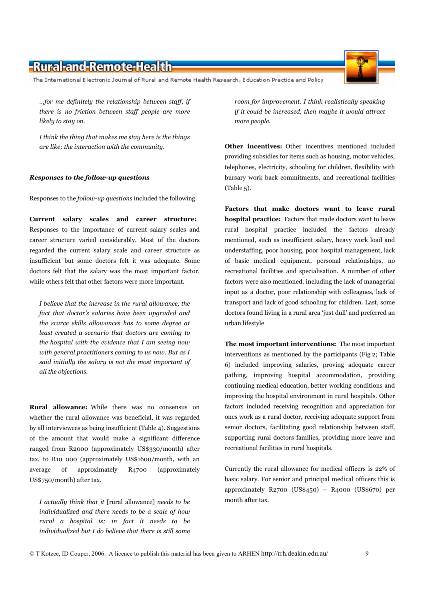The International Electronic Journal of Rural and Remote Health Research, Education Practice and Policy

...for me definitely the relationship between staff, if there is no friction between staff people are more likely to stay on.

I think the thing that makes me stay here is the things are like; the interaction with the community.

#### Responses to the follow-up questions

Responses to the *follow-up questions* included the following.

Current salary scales and career structure: Responses to the importance of current salary scales and career structure varied considerably. Most of the doctors regarded the current salary scale and career structure as insufficient but some doctors felt it was adequate. Some doctors felt that the salary was the most important factor, while others felt that other factors were more important.

I believe that the increase in the rural allowance, the fact that doctor's salaries have been upgraded and the scarce skills allowances has to some degree at least created a scenario that doctors are coming to the hospital with the evidence that  $I$  am seeing now with general practitioners coming to us now. But as I said initially the salary is not the most important of all the objections.

Rural allowance: While there was no consensus on whether the rural allowance was beneficial, it was regarded by all interviewees as being insufficient (Table 4). Suggestions of the amount that would make a significant difference ranged from R2000 (approximately US\$330/month) after tax, to R10 000 (approximately US\$1600/month, with an average of approximately R<sub>4700</sub> (approximately US\$750/month) after tax.

I actually think that it [rural allowance] needs to be individualized and there needs to be a scale of how rural a hospital is; in fact it needs to be individualized but I do believe that there is still some room for improvement. I think realistically speaking if it could be increased, then maybe it would attract more people.

Other incentives: Other incentives mentioned included providing subsidies for items such as housing, motor vehicles, telephones, electricity, schooling for children, flexibility with bursary work back commitments, and recreational facilities  $(Table 5)$ .

Factors that make doctors want to leave rural **hospital practice:** Factors that made doctors want to leave rural hospital practice included the factors already mentioned, such as insufficient salary, heavy work load and understaffing, poor housing, poor hospital management, lack of basic medical equipment, personal relationships, no recreational facilities and specialisation. A number of other factors were also mentioned. including the lack of managerial input as a doctor, poor relationship with colleagues, lack of transport and lack of good schooling for children. Last, some doctors found living in a rural area 'just dull' and preferred an urban lifestyle

The most important interventions: The most important interventions as mentioned by the participants (Fig 2; Table 6) included improving salaries, proving adequate career pathing, improving hospital accommodation, providing continuing medical education, better working conditions and improving the hospital environment in rural hospitals. Other factors included receiving recognition and appreciation for ones work as a rural doctor, receiving adequate support from senior doctors, facilitating good relationship between staff, supporting rural doctors families, providing more leave and recreational facilities in rural hospitals.

Currently the rural allowance for medical officers is 22% of basic salary. For senior and principal medical officers this is approximately  $R2700$  (US\$450) - R4000 (US\$670) per month after tax.

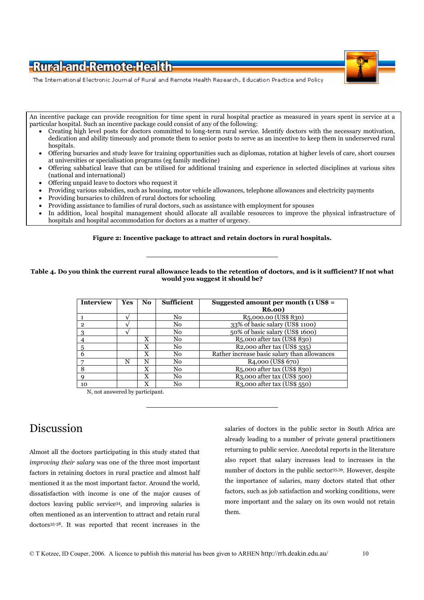

The International Electronic Journal of Rural and Remote Health Research, Education Practice and Policy

An incentive package can provide recognition for time spent in rural hospital practice as measured in years spent in service at a particular hospital. Such an incentive package could consist of any of the following:

- Creating high level posts for doctors committed to long-term rural service. Identify doctors with the necessary motivation, dedication and ability timeously and promote them to senior posts to serve as an incentive to keep them in underserved rural hospitals.
- Offering bursaries and study leave for training opportunities such as diplomas, rotation at higher levels of care, short courses at universities or specialisation programs (eg family medicine)
- Offering sabbatical leave that can be utilised for additional training and experience in selected disciplines at various sites (national and international)
- Offering unpaid leave to doctors who request it
- Providing various subsidies, such as housing, motor vehicle allowances, telephone allowances and electricity payments
- Providing bursaries to children of rural doctors for schooling
- Providing assistance to families of rural doctors, such as assistance with employment for spouses
- In addition, local hospital management should allocate all available resources to improve the physical infrastructure of hospitals and hospital accommodation for doctors as a matter of urgency.

#### Figure 2: Incentive package to attract and retain doctors in rural hospitals.

#### Table 4. Do you think the current rural allowance leads to the retention of doctors, and is it sufficient? If not what would you suggest it should be?

| Interview    | Yes | No. | <b>Sufficient</b> | Suggested amount per month $(1 \text{ US}\$$ = |
|--------------|-----|-----|-------------------|------------------------------------------------|
|              |     |     |                   | <b>R6.00</b>                                   |
|              |     |     | No                | R <sub>5</sub> ,000.00 (US\$ 830)              |
| $\mathbf{2}$ |     |     | No                | 33% of basic salary (US\$ 1100)                |
| 3            |     |     | No                | 50% of basic salary (US\$ 1600)                |
|              |     | X   | No                | R <sub>5</sub> ,000 after tax (US\$ 830)       |
| 5            |     | X   | No                | R <sub>2</sub> ,000 after tax (US\$ 335)       |
|              |     | X   | No                | Rather increase basic salary than allowances   |
|              | N   | N   | No                | R <sub>4</sub> ,000 (US\$ 670)                 |
| 8            |     | X   | No                | R5,000 after tax (US\$ 830)                    |
|              |     | X   | No                | R <sub>3</sub> ,000 after tax (US\$ 500)       |
| 10           |     | X   | No                | R <sub>3</sub> ,000 after tax (US\$ 550)       |

N, not answered by participant.

### Discussion

Almost all the doctors participating in this study stated that *improving their salary* was one of the three most important factors in retaining doctors in rural practice and almost half mentioned it as the most important factor. Around the world, dissatisfaction with income is one of the major causes of doctors leaving public service<sup>34</sup>, and improving salaries is often mentioned as an intervention to attract and retain rural doctors<sup>35-38</sup>. It was reported that recent increases in the salaries of doctors in the public sector in South Africa are already leading to a number of private general practitioners returning to public service. Anecdotal reports in the literature also report that salary increases lead to increases in the number of doctors in the public sector<sup>35,39</sup>. However, despite the importance of salaries, many doctors stated that other factors, such as job satisfaction and working conditions, were more important and the salary on its own would not retain them.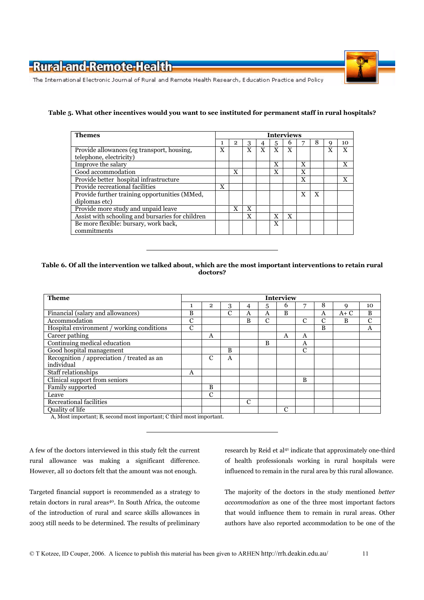

The International Electronic Journal of Rural and Remote Health Research, Education Practice and Policy

#### Table 5. What other incentives would you want to see instituted for permanent staff in rural hospitals?

| <b>Themes</b>                                                         | <b>Interviews</b> |              |   |   |   |   |   |   |   |    |  |
|-----------------------------------------------------------------------|-------------------|--------------|---|---|---|---|---|---|---|----|--|
|                                                                       |                   | $\mathbf{2}$ | 3 |   | 5 | h |   | 8 |   | 10 |  |
| Provide allowances (eg transport, housing,<br>telephone, electricity) | X                 |              | X | X | X | X |   |   | X | X  |  |
| Improve the salary                                                    |                   |              |   |   | X |   | X |   |   | X  |  |
| Good accommodation                                                    |                   | X            |   |   | X |   | X |   |   |    |  |
| Provide better hospital infrastructure                                |                   |              |   |   |   |   | X |   |   | X  |  |
| Provide recreational facilities                                       | X                 |              |   |   |   |   |   |   |   |    |  |
| Provide further training opportunities (MMed,<br>diplomas etc)        |                   |              |   |   |   |   | X | X |   |    |  |
| Provide more study and unpaid leave                                   |                   | X            | X |   |   |   |   |   |   |    |  |
| Assist with schooling and bursaries for children                      |                   |              | X |   | X | X |   |   |   |    |  |
| Be more flexible: bursary, work back,<br>commitments                  |                   |              |   |   | X |   |   |   |   |    |  |

#### Table 6. Of all the intervention we talked about, which are the most important interventions to retain rural doctors?

| <b>Theme</b>                               |               |                |   |   |               | Interview |   |   |       |               |
|--------------------------------------------|---------------|----------------|---|---|---------------|-----------|---|---|-------|---------------|
|                                            |               | $\overline{2}$ | 3 | 4 | 5             | 6         | 7 | 8 | 9     | 10            |
| Financial (salary and allowances)          | <sub>B</sub>  |                | C | A | A             | B         |   | A | $A+C$ | B             |
| Accommodation                              | $\mathcal{C}$ |                |   | B | $\mathcal{C}$ |           | С | C | B     | $\mathcal{C}$ |
| Hospital environment / working conditions  | $\mathcal{C}$ |                |   |   |               |           |   | B |       | A             |
| Career pathing                             |               | A              |   |   |               | A         | A |   |       |               |
| Continuing medical education               |               |                |   |   | B             |           | A |   |       |               |
| Good hospital management                   |               |                | B |   |               |           | C |   |       |               |
| Recognition / appreciation / treated as an |               | C              | A |   |               |           |   |   |       |               |
| individual                                 |               |                |   |   |               |           |   |   |       |               |
| Staff relationships                        | A             |                |   |   |               |           |   |   |       |               |
| Clinical support from seniors              |               |                |   |   |               |           | B |   |       |               |
| Family supported                           |               | B              |   |   |               |           |   |   |       |               |
| Leave                                      |               | $\mathcal{C}$  |   |   |               |           |   |   |       |               |
| Recreational facilities                    |               |                |   | C |               |           |   |   |       |               |
| Quality of life                            |               |                |   |   |               | C         |   |   |       |               |

A, Most important; B, second most important; C third most important.

A few of the doctors interviewed in this study felt the current rural allowance was making a significant difference. However, all 10 doctors felt that the amount was not enough.

Targeted financial support is recommended as a strategy to retain doctors in rural areas<sup>40</sup>. In South Africa, the outcome of the introduction of rural and scarce skills allowances in 2003 still needs to be determined. The results of preliminary research by Reid et al<sup>41</sup> indicate that approximately one-third of health professionals working in rural hospitals were influenced to remain in the rural area by this rural allowance.

The majority of the doctors in the study mentioned better accommodation as one of the three most important factors that would influence them to remain in rural areas. Other authors have also reported accommodation to be one of the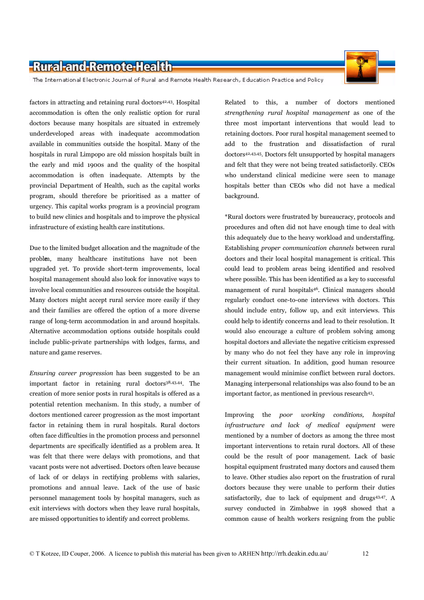

The International Electronic Journal of Rural and Remote Health Research, Education Practice and Policy

factors in attracting and retaining rural doctors<sup>42,43</sup>. Hospital accommodation is often the only realistic option for rural doctors because many hospitals are situated in extremely underdeveloped areas with inadequate accommodation available in communities outside the hospital. Many of the hospitals in rural Limpopo are old mission hospitals built in the early and mid 1900s and the quality of the hospital accommodation is often inadequate. Attempts by the provincial Department of Health, such as the capital works program, should therefore be prioritised as a matter of urgency. This capital works program is a provincial program to build new clinics and hospitals and to improve the physical infrastructure of existing health care institutions.

Due to the limited budget allocation and the magnitude of the problm, many healthcare institutions have not been upgraded yet. To provide short-term improvements, local hospital management should also look for innovative ways to involve local communities and resources outside the hospital. Many doctors might accept rural service more easily if they and their families are offered the option of a more diverse range of long-term accommodation in and around hospitals. Alternative accommodation options outside hospitals could include public-private partnerships with lodges, farms, and nature and game reserves.

Ensuring career progression has been suggested to be an important factor in retaining rural doctors<sup>38,43,44</sup>. The creation of more senior posts in rural hospitals is offered as a potential retention mechanism. In this study, a number of doctors mentioned career progression as the most important factor in retaining them in rural hospitals. Rural doctors often face difficulties in the promotion process and personnel departments are specifically identified as a problem area. It was felt that there were delays with promotions, and that vacant posts were not advertised. Doctors often leave because of lack of or delays in rectifying problems with salaries, promotions and annual leave. Lack of the use of basic personnel management tools by hospital managers, such as exit interviews with doctors when they leave rural hospitals. are missed opportunities to identify and correct problems.

Related to this, a number of doctors mentioned strengthening rural hospital management as one of the three most important interventions that would lead to retaining doctors. Poor rural hospital management seemed to add to the frustration and dissatisfaction of rural doctors<sup>42,43,45</sup>. Doctors felt unsupported by hospital managers and felt that they were not being treated satisfactorily. CEOs who understand clinical medicine were seen to manage hospitals better than CEOs who did not have a medical background.

\*Rural doctors were frustrated by bureaucracy, protocols and procedures and often did not have enough time to deal with this adequately due to the heavy workload and understaffing. Establishing *proper communication channels* between rural doctors and their local hospital management is critical. This could lead to problem areas being identified and resolved where possible. This has been identified as a key to successful management of rural hospitals<sup>46</sup>. Clinical managers should regularly conduct one-to-one interviews with doctors. This should include entry, follow up, and exit interviews. This could help to identify concerns and lead to their resolution. It would also encourage a culture of problem solving among hospital doctors and alleviate the negative criticism expressed by many who do not feel they have any role in improving their current situation. In addition, good human resource management would minimise conflict between rural doctors. Managing interpersonal relationships was also found to be an important factor, as mentioned in previous research<sup>43</sup>.

Improving the *poor* working conditions, hospital infrastructure and lack of medical equipment were mentioned by a number of doctors as among the three most important interventions to retain rural doctors. All of these could be the result of poor management. Lack of basic hospital equipment frustrated many doctors and caused them to leave. Other studies also report on the frustration of rural doctors because they were unable to perform their duties satisfactorily, due to lack of equipment and drugs<sup>43,47</sup>. A survey conducted in Zimbabwe in 1998 showed that a common cause of health workers resigning from the public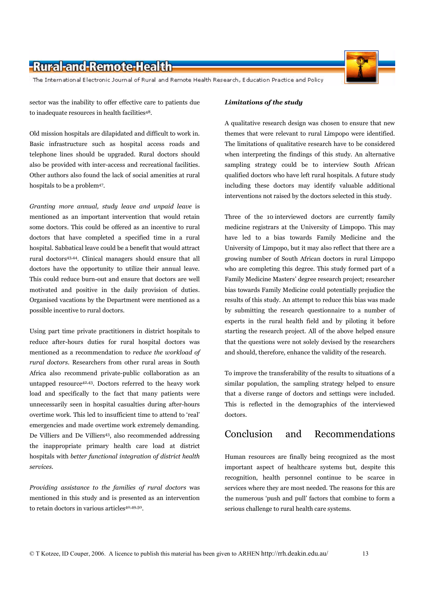The International Electronic Journal of Rural and Remote Health Research, Education Practice and Policy

sector was the inability to offer effective care to patients due to inadequate resources in health facilities<sup>48</sup>.

Old mission hospitals are dilapidated and difficult to work in. Basic infrastructure such as hospital access roads and telephone lines should be upgraded. Rural doctors should also be provided with inter-access and recreational facilities. Other authors also found the lack of social amenities at rural hospitals to be a problem<sup>47</sup>.

Granting more annual, study leave and unpaid leave is mentioned as an important intervention that would retain some doctors. This could be offered as an incentive to rural doctors that have completed a specified time in a rural hospital. Sabbatical leave could be a benefit that would attract rural doctors<sup>43,44</sup>. Clinical managers should ensure that all doctors have the opportunity to utilize their annual leave. This could reduce burn-out and ensure that doctors are well motivated and positive in the daily provision of duties. Organised vacations by the Department were mentioned as a possible incentive to rural doctors.

Using part time private practitioners in district hospitals to reduce after-hours duties for rural hospital doctors was mentioned as a recommendation to reduce the workload of rural doctors. Researchers from other rural areas in South Africa also recommend private-public collaboration as an untapped resource<sup>42,43</sup>. Doctors referred to the heavy work load and specifically to the fact that many patients were unnecessarily seen in hospital casualties during after-hours overtime work. This led to insufficient time to attend to 'real' emergencies and made overtime work extremely demanding. De Villiers and De Villiers<sup>43</sup>, also recommended addressing the inappropriate primary health care load at district hospitals with better functional integration of district health services.

Providing assistance to the families of rural doctors was mentioned in this study and is presented as an intervention to retain doctors in various articles<sup>40,49,50</sup>.

#### Limitations of the study

A qualitative research design was chosen to ensure that new themes that were relevant to rural Limpopo were identified. The limitations of qualitative research have to be considered when interpreting the findings of this study. An alternative sampling strategy could be to interview South African qualified doctors who have left rural hospitals. A future study including these doctors may identify valuable additional interventions not raised by the doctors selected in this study.

Three of the 10 interviewed doctors are currently family medicine registrars at the University of Limpopo. This may have led to a bias towards Family Medicine and the University of Limpopo, but it may also reflect that there are a growing number of South African doctors in rural Limpopo who are completing this degree. This study formed part of a Family Medicine Masters' degree research project; researcher bias towards Family Medicine could potentially prejudice the results of this study. An attempt to reduce this bias was made by submitting the research questionnaire to a number of experts in the rural health field and by piloting it before starting the research project. All of the above helped ensure that the questions were not solely devised by the researchers and should, therefore, enhance the validity of the research.

To improve the transferability of the results to situations of a similar population, the sampling strategy helped to ensure that a diverse range of doctors and settings were included. This is reflected in the demographics of the interviewed doctors.

#### Conclusion Recommendations and

Human resources are finally being recognized as the most important aspect of healthcare systems but, despite this recognition, health personnel continue to be scarce in services where they are most needed. The reasons for this are the numerous 'push and pull' factors that combine to form a serious challenge to rural health care systems.

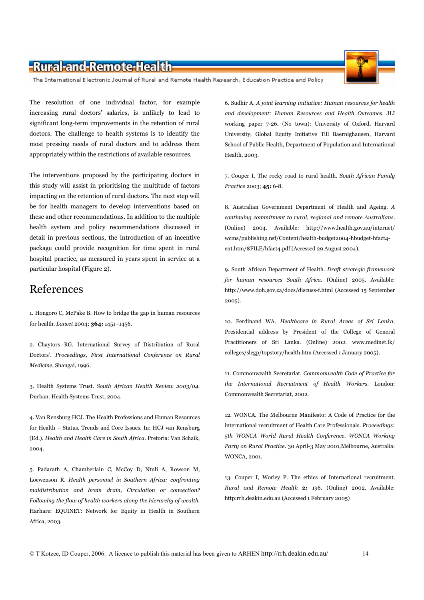The International Electronic Journal of Rural and Remote Health Research, Education Practice and Policy

The resolution of one individual factor, for example increasing rural doctors' salaries, is unlikely to lead to significant long-term improvements in the retention of rural doctors. The challenge to health systems is to identify the most pressing needs of rural doctors and to address them appropriately within the restrictions of available resources.

The interventions proposed by the participating doctors in this study will assist in prioritising the multitude of factors impacting on the retention of rural doctors. The next step will be for health managers to develop interventions based on these and other recommendations. In addition to the multiple health system and policy recommendations discussed in detail in previous sections, the introduction of an incentive package could provide recognition for time spent in rural hospital practice, as measured in years spent in service at a particular hospital (Figure 2).

### References

1. Hongoro C, McPake B. How to bridge the gap in human resources for health. Lancet 2004; 364: 1451-1456.

2. Chaytors RG. International Survey of Distribution of Rural Doctors'. Proceedings, First International Conference on Rural Medicine, Shangai, 1996.

3. Health Systems Trust. South African Health Review 2003/04. Durban: Health Systems Trust, 2004.

4. Van Rensburg HCJ. The Health Professions and Human Resources for Health - Status, Trends and Core Issues. In: HCJ van Rensburg (Ed.). Health and Health Care in South Africa. Pretoria: Van Schaik, 2004.

5. Padarath A, Chamberlain C, McCoy D, Ntuli A, Rowson M, Loewenson R. Health personnel in Southern Africa: confronting maldistribution and brain drain, Circulation or convection? Following the flow of health workers along the hierarchy of wealth. Harhare: EQUINET: Network for Equity in Health in Southern Africa, 2003.

6. Sudhir A. A joint learning initiative: Human resources for health and development: Human Resources and Health Outcomes. JLI working paper 7-26. (No town): University of Oxford, Harvard University, Global Equity Initiative Till Baernighausen, Harvard School of Public Health, Department of Population and International Health, 2003.

7. Couper I. The rocky road to rural health. South African Family Practice 2003; 45: 6-8.

8. Australian Government Department of Health and Ageing. A continuing commitment to rural, regional and remote Australians. (Online) 2004. Available: http://www.health.gov.au/internet/ wcms/publishing.nsf/Content/health-budget2004-hbudget-hfact4cnt.htm/\$FILE/hfact4.pdf (Accessed 29 August 2004).

9. South African Department of Health. Draft strategic framework for human resources South Africa. (Online) 2005. Available: http://www.doh.gov.za/docs/discuss-f.html (Accessed 15 September  $2005$ ).

10. Ferdinand WA. Healthcare in Rural Areas of Sri Lanka. Presidential address by President of the College of General Practitioners of Sri Lanka. (Online) 2002. www.medinet.lk/ colleges/slcgp/topstory/health.htm (Accessed 1 January 2005).

11. Commonwealth Secretariat. Commonwealth Code of Practice for the International Recruitment of Health Workers. London: Commonwealth Secretariat, 2002.

12. WONCA. The Melbourne Manifesto: A Code of Practice for the international recruitment of Health Care Professionals. Proceedings: 5th WONCA World Rural Health Conference. WONCA Working Party on Rural Practice. 30 April-3 May 2001, Melbourne, Australia: **WONCA, 2001.** 

13. Couper I, Worley P. The ethics of International recruitment. Rural and Remote Health 2: 196. (Online) 2002. Available: http:rrh.deakin.edu.au (Accessed 1 February 2005)

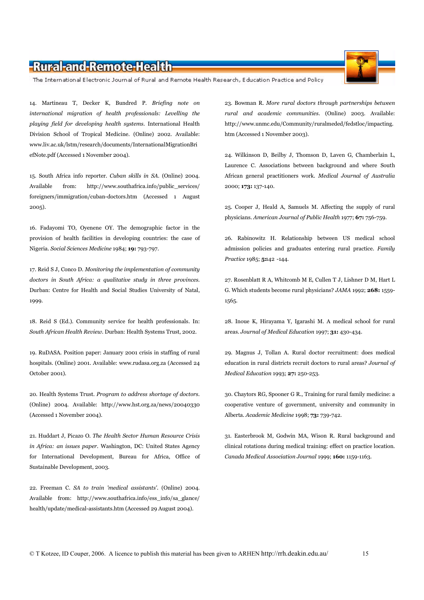The International Electronic Journal of Rural and Remote Health Research, Education Practice and Policy

14. Martineau T, Decker K, Bundred P. Briefing note on international migration of health professionals: Levelling the playing field for developing health systems. International Health Division School of Tropical Medicine. (Online) 2002. Available: www.liv.ac.uk/lstm/research/documents/InternationalMigrationBri efNote.pdf (Accessed 1 November 2004).

15. South Africa info reporter. Cuban skills in SA. (Online) 2004. Available from: http://www.southafrica.info/public services/ foreigners/immigration/cuban-doctors.htm (Accessed 1 August  $2005$ ).

16. Fadayomi TO, Oyenene OY. The demographic factor in the provision of health facilities in developing countries: the case of Nigeria. Social Sciences Medicine 1984; 19: 793-797.

17. Reid S J, Conco D. Monitoring the implementation of community doctors in South Africa: a qualitative study in three provinces. Durban: Centre for Health and Social Studies University of Natal, 1999.

18. Reid S (Ed.). Community service for health professionals. In: South African Health Review. Durban: Health Systems Trust, 2002.

19. RuDASA. Position paper: January 2001 crisis in staffing of rural hospitals. (Online) 2001. Available: www.rudasa.org.za (Accessed 24 October 2001).

20. Health Systems Trust. Program to address shortage of doctors. (Online) 2004. Available: http://www.hst.org.za/news/20040330 (Accessed 1 November 2004).

21. Huddart J. Picazo O. The Health Sector Human Resource Crisis in Africa: an issues paper. Washington, DC: United States Agency for International Development, Bureau for Africa, Office of Sustainable Development, 2003.

22. Freeman C. SA to train 'medical assistants'. (Online) 2004. Available from: http://www.southafrica.info/ess info/sa glance/ health/update/medical-assistants.htm (Accessed 29 August 2004).

23. Bowman R. More rural doctors through partnerships between rural and academic communities. (Online) 2003. Available: http://www.unmc.edu/Community/ruralmeded/fedstloc/impacting. htm (Accessed 1 November 2003).

24. Wilkinson D, Beilby J, Thomson D, Laven G, Chamberlain L, Laurence C. Associations between background and where South African general practitioners work. Medical Journal of Australia 2000; 173: 137-140.

25. Cooper J, Heald A, Samuels M. Affecting the supply of rural physicians. American Journal of Public Health 1977; 67: 756-759.

26. Rabinowitz H. Relationship between US medical school admission policies and graduates entering rural practice. Family Practice 1985; 5:142 -144.

27. Rosenblatt R A, Whitcomb M E, Cullen T J, Lishner D M, Hart L G. Which students become rural physicians? JAMA 1992; 268: 1559-1565.

28. Inoue K, Hirayama Y, Igarashi M. A medical school for rural areas. Journal of Medical Education 1997; 31: 430-434.

29. Magnus J, Tollan A. Rural doctor recruitment: does medical education in rural districts recruit doctors to rural areas? Journal of Medical Education 1993; 27: 250-253.

30. Chaytors RG, Spooner G R., Training for rural family medicine: a cooperative venture of government, university and community in Alberta. Academic Medicine 1998; 73: 739-742.

31. Easterbrook M, Godwin MA, Wison R. Rural background and clinical rotations during medical training: effect on practice location. Canada Medical Association Journal 1999; 160: 1159-1163.



15

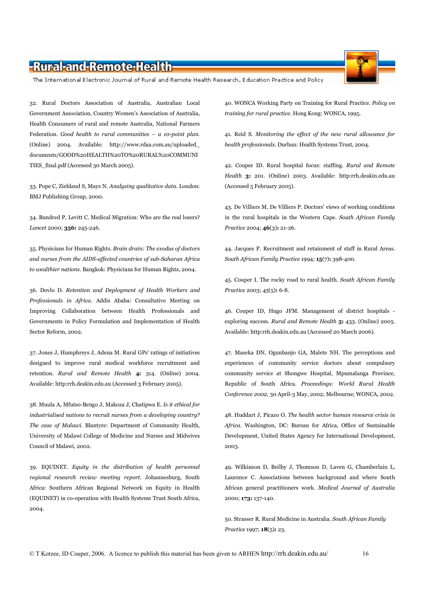The International Electronic Journal of Rural and Remote Health Research, Education Practice and Policy

32. Rural Doctors Association of Australia, Australian Local Government Association, Country Women's Association of Australia, Health Consumers of rural and remote Australia, National Farmers Federation. Good health to rural communities  $- a$  10-point plan. (Online) 2004. Available: http://www.rdaa.com.au/uploaded\_ documents/GOOD%20HEALTH%20TO%20RURAL%20COMMUNI TIES\_final.pdf (Accessed 30 March 2005).

33. Pope C, Ziebland S, Mays N. Analysing qualitative data. London: BMJ Publishing Group, 2000.

34. Bundred P, Levitt C. Medical Migration: Who are the real losers? Lancet 2000; 356: 245-246.

35. Physicians for Human Rights. Brain drain: The exodus of doctors and nurses from the AIDS-affected countries of sub-Saharan Africa to wealthier nations. Bangkok: Physicians for Human Rights, 2004.

36. Dovlo D. Retention and Deployment of Health Workers and Professionals in Africa. Addis Ababa: Consultative Meeting on Improving Collaboration between Health Professionals and Governments in Policy Formulation and Implementation of Health Sector Reform, 2002.

37. Jones J, Humphreys J, Adena M. Rural GPs' ratings of initiatives designed to improve rural medical workforce recruitment and retention. Rural and Remote Health 4: 314. (Online) 2004. Available: http:rrh.deakin.edu.au (Accessed 3 February 2005).

38. Muula A, Mfutso-Bengo J, Makoza J, Chatipwa E. Is it ethical for industrialised nations to recruit nurses from a developing country? The case of Malawi. Blantyre: Department of Community Health, University of Malawi College of Medicine and Nurses and Midwives Council of Malawi, 2002.

39. EQUINET. Equity in the distribution of health personnel regional research review meeting report. Johannesburg, South Africa: Southern African Regional Network on Equity in Health (EOUINET) in co-operation with Health Systems Trust South Africa. 2004.

40. WONCA Working Party on Training for Rural Practice. Policy on training for rural practice. Hong Kong: WONCA, 1995.

41. Reid S. Monitoring the effect of the new rural allowance for health professionals. Durban: Health Systems Trust, 2004.

42. Couper ID. Rural hospital focus: staffing. Rural and Remote Health 3: 201. (Online) 2003. Available: http:rrh.deakin.edu.au (Accessed 5 February 2005).

43. De Villiers M, De Villiers P. Doctors' views of working conditions in the rural hospitals in the Western Cape. South African Family Practice 2004; 46(3): 21-26.

44. Jacques P. Recruitment and retainment of staff in Rural Areas. South African Family Practice 1994; 15(7): 398-400.

45. Couper I. The rocky road to rural health. South African Family Practice 2003; 45(5): 6-8.

46. Couper ID, Hugo JFM. Management of district hospitals exploring success. Rural and Remote Health 5: 433. (Online) 2005. Available: http:rrh.deakin.edu.au (Accessed 20 March 2006).

47. Maseka DN, Ogunbanjo GA, Malete NH. The perceptions and experiences of community service doctors about compulsory community service at Shongwe Hospital, Mpumalanga Province, Republic of South Africa. Proceedings: World Rural Health Conference 2002, 30 April-3 May, 2002; Melbourne; WONCA, 2002.

48. Huddart J, Picazo O. The health sector human resource crisis in Africa. Washington, DC: Bureau for Africa, Office of Sustainable Development, United States Agency for International Development, 2003.

49. Wilkinson D, Beilby J, Thomson D, Laven G, Chamberlain L, Laurence C. Associations between background and where South African general practitioners work. Medical Journal of Australia 2000: 173: 137-140.

50. Strasser R. Rural Medicine in Australia. South African Family Practice 1997; 18(5): 23.